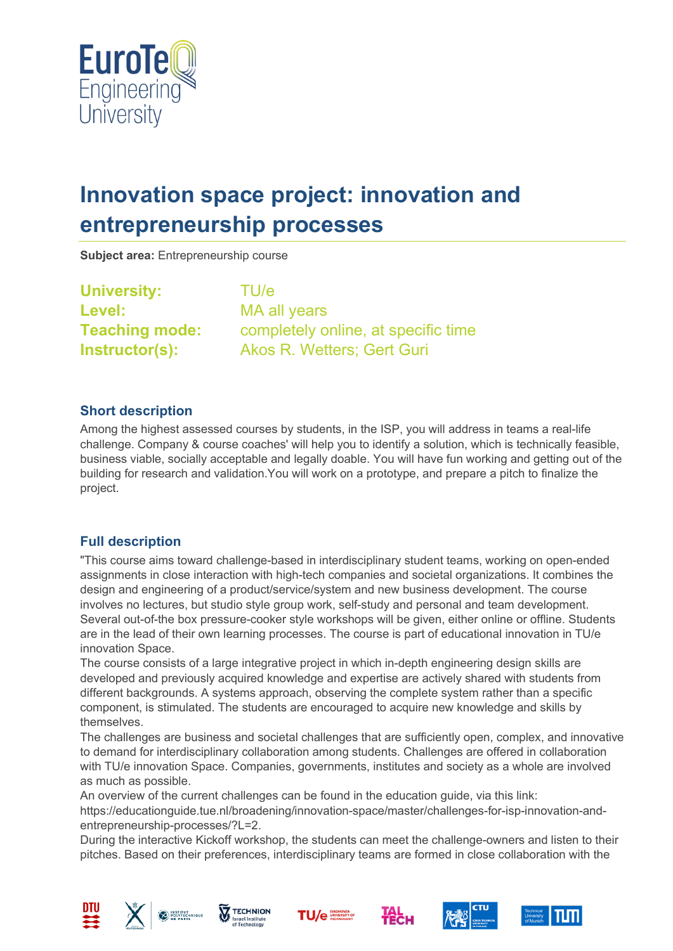

# **Innovation space project: innovation and entrepreneurship processes**

**Subject area:** Entrepreneurship course

**University:** TU/e **Level:** MA all years

**Teaching mode:** completely online, at specific time **Instructor(s):** Akos R. Wetters; Gert Guri

### **Short description**

Among the highest assessed courses by students, in the ISP, you will address in teams a real-life challenge. Company & course coaches' will help you to identify a solution, which is technically feasible, business viable, socially acceptable and legally doable. You will have fun working and getting out of the building for research and validation.You will work on a prototype, and prepare a pitch to finalize the project.

# **Full description**

"This course aims toward challenge-based in interdisciplinary student teams, working on open-ended assignments in close interaction with high-tech companies and societal organizations. It combines the design and engineering of a product/service/system and new business development. The course involves no lectures, but studio style group work, self-study and personal and team development. Several out-of-the box pressure-cooker style workshops will be given, either online or offline. Students are in the lead of their own learning processes. The course is part of educational innovation in TU/e innovation Space.

The course consists of a large integrative project in which in-depth engineering design skills are developed and previously acquired knowledge and expertise are actively shared with students from different backgrounds. A systems approach, observing the complete system rather than a specific component, is stimulated. The students are encouraged to acquire new knowledge and skills by themselves.

The challenges are business and societal challenges that are sufficiently open, complex, and innovative to demand for interdisciplinary collaboration among students. Challenges are offered in collaboration with TU/e innovation Space. Companies, governments, institutes and society as a whole are involved as much as possible.

An overview of the current challenges can be found in the education guide, via this link: https://educationguide.tue.nl/broadening/innovation-space/master/challenges-for-isp-innovation-andentrepreneurship-processes/?L=2.

During the interactive Kickoff workshop, the students can meet the challenge-owners and listen to their pitches. Based on their preferences, interdisciplinary teams are formed in close collaboration with the













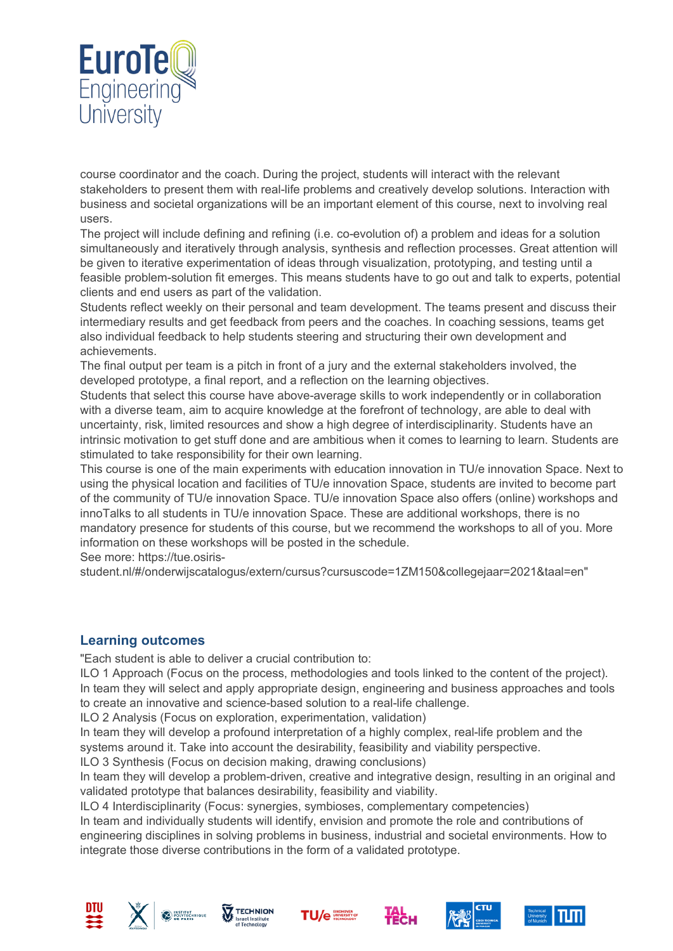

course coordinator and the coach. During the project, students will interact with the relevant stakeholders to present them with real-life problems and creatively develop solutions. Interaction with business and societal organizations will be an important element of this course, next to involving real users.

The project will include defining and refining (i.e. co-evolution of) a problem and ideas for a solution simultaneously and iteratively through analysis, synthesis and reflection processes. Great attention will be given to iterative experimentation of ideas through visualization, prototyping, and testing until a feasible problem-solution fit emerges. This means students have to go out and talk to experts, potential clients and end users as part of the validation.

Students reflect weekly on their personal and team development. The teams present and discuss their intermediary results and get feedback from peers and the coaches. In coaching sessions, teams get also individual feedback to help students steering and structuring their own development and achievements.

The final output per team is a pitch in front of a jury and the external stakeholders involved, the developed prototype, a final report, and a reflection on the learning objectives.

Students that select this course have above-average skills to work independently or in collaboration with a diverse team, aim to acquire knowledge at the forefront of technology, are able to deal with uncertainty, risk, limited resources and show a high degree of interdisciplinarity. Students have an intrinsic motivation to get stuff done and are ambitious when it comes to learning to learn. Students are stimulated to take responsibility for their own learning.

This course is one of the main experiments with education innovation in TU/e innovation Space. Next to using the physical location and facilities of TU/e innovation Space, students are invited to become part of the community of TU/e innovation Space. TU/e innovation Space also offers (online) workshops and innoTalks to all students in TU/e innovation Space. These are additional workshops, there is no mandatory presence for students of this course, but we recommend the workshops to all of you. More information on these workshops will be posted in the schedule.

See more: https://tue.osiris-

student.nl/#/onderwijscatalogus/extern/cursus?cursuscode=1ZM150&collegejaar=2021&taal=en"

### **Learning outcomes**

"Each student is able to deliver a crucial contribution to:

ILO 1 Approach (Focus on the process, methodologies and tools linked to the content of the project). In team they will select and apply appropriate design, engineering and business approaches and tools to create an innovative and science-based solution to a real-life challenge.

ILO 2 Analysis (Focus on exploration, experimentation, validation)

In team they will develop a profound interpretation of a highly complex, real-life problem and the systems around it. Take into account the desirability, feasibility and viability perspective.

ILO 3 Synthesis (Focus on decision making, drawing conclusions)

In team they will develop a problem-driven, creative and integrative design, resulting in an original and validated prototype that balances desirability, feasibility and viability.

ILO 4 Interdisciplinarity (Focus: synergies, symbioses, complementary competencies)

In team and individually students will identify, envision and promote the role and contributions of engineering disciplines in solving problems in business, industrial and societal environments. How to integrate those diverse contributions in the form of a validated prototype.













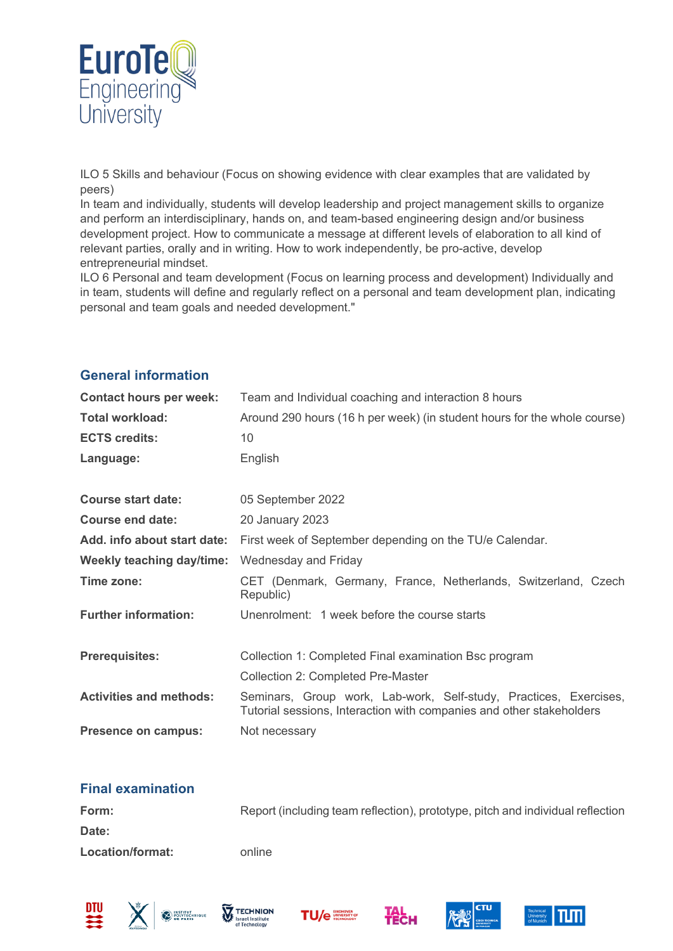

ILO 5 Skills and behaviour (Focus on showing evidence with clear examples that are validated by peers)

In team and individually, students will develop leadership and project management skills to organize and perform an interdisciplinary, hands on, and team-based engineering design and/or business development project. How to communicate a message at different levels of elaboration to all kind of relevant parties, orally and in writing. How to work independently, be pro-active, develop entrepreneurial mindset.

ILO 6 Personal and team development (Focus on learning process and development) Individually and in team, students will define and regularly reflect on a personal and team development plan, indicating personal and team goals and needed development."

| <b>Contact hours per week:</b>   | Team and Individual coaching and interaction 8 hours                                                                                      |  |
|----------------------------------|-------------------------------------------------------------------------------------------------------------------------------------------|--|
| <b>Total workload:</b>           | Around 290 hours (16 h per week) (in student hours for the whole course)                                                                  |  |
| <b>ECTS credits:</b>             | 10                                                                                                                                        |  |
| Language:                        | English                                                                                                                                   |  |
|                                  |                                                                                                                                           |  |
| <b>Course start date:</b>        | 05 September 2022                                                                                                                         |  |
| Course end date:                 | 20 January 2023                                                                                                                           |  |
| Add. info about start date:      | First week of September depending on the TU/e Calendar.                                                                                   |  |
| <b>Weekly teaching day/time:</b> | Wednesday and Friday                                                                                                                      |  |
| Time zone:                       | CET (Denmark, Germany, France, Netherlands, Switzerland, Czech<br>Republic)                                                               |  |
| <b>Further information:</b>      | Unenrolment: 1 week before the course starts                                                                                              |  |
|                                  |                                                                                                                                           |  |
| <b>Prerequisites:</b>            | Collection 1: Completed Final examination Bsc program                                                                                     |  |
|                                  | <b>Collection 2: Completed Pre-Master</b>                                                                                                 |  |
| <b>Activities and methods:</b>   | Seminars, Group work, Lab-work, Self-study, Practices, Exercises,<br>Tutorial sessions, Interaction with companies and other stakeholders |  |
| <b>Presence on campus:</b>       | Not necessary                                                                                                                             |  |

# **General information**

### **Final examination**

| Form:            | Report (including team reflection), prototype, pitch and individual reflection |
|------------------|--------------------------------------------------------------------------------|
| Date:            |                                                                                |
| Location/format: | online                                                                         |